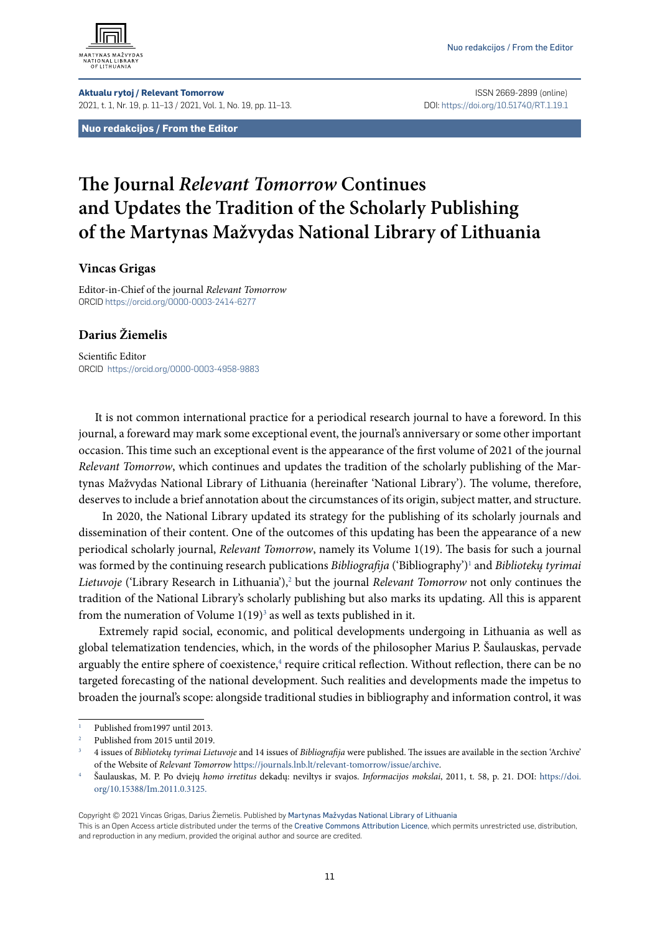

**Aktualu rytoj / Relevant Tomorrow** ISSN 2669-2899 (online) 2021, t. 1, Nr. 19, p. 11–13 / 2021, Vol. 1, No. 19, pp. 11–13. DOI: https://doi.org/10.51740/RT.1.19.1

**Nuo redakcijos / From the Editor**

## **The Journal** *Relevant Tomorrow* **Continues and Updates the Tradition of the Scholarly Publishing of the Martynas Mažvydas National Library of Lithuania**

## **Vincas Grigas**

Editor-in-Chief of the journal *Relevant Tomorrow* ORCID<https://orcid.org/0000-0003-2414-6277>

## **Darius Žiemelis**

Scientific Editor ORCID <https://orcid.org/0000-0003-4958-9883>

It is not common international practice for a periodical research journal to have a foreword. In this journal, a foreward may mark some exceptional event, the journal's anniversary or some other important occasion. This time such an exceptional event is the appearance of the first volume of 2021 of the journal *Relevant Tomorrow*, which continues and updates the tradition of the scholarly publishing of the Martynas Mažvydas National Library of Lithuania (hereinafter 'National Library'). The volume, therefore, deserves to include a brief annotation about the circumstances of its origin, subject matter, and structure.

 In 2020, the National Library updated its strategy for the publishing of its scholarly journals and dissemination of their content. One of the outcomes of this updating has been the appearance of a new periodical scholarly journal, *Relevant Tomorrow*, namely its Volume 1(19). The basis for such a journal was formed by the continuing research publications *Bibliografija* ('Bibliography')1 and *Bibliotekų tyrimai*  Lietuvoje ('Library Research in Lithuania'),<sup>2</sup> but the journal *Relevant Tomorrow* not only continues the tradition of the National Library's scholarly publishing but also marks its updating. All this is apparent from the numeration of Volume  $1(19)^3$  as well as texts published in it.

 Extremely rapid social, economic, and political developments undergoing in Lithuania as well as global telematization tendencies, which, in the words of the philosopher Marius P. Šaulauskas, pervade arguably the entire sphere of coexistence,<sup>4</sup> require critical reflection. Without reflection, there can be no targeted forecasting of the national development. Such realities and developments made the impetus to broaden the journal's scope: alongside traditional studies in bibliography and information control, it was

Copyright © 2021 Vincas Grigas, Darius Žiemelis. Published by Martynas Mažvydas National Library of Lithuania

This is an Open Access article distributed under the terms of the Creative Commons Attribution Licence, which permits unrestricted use, distribution, and reproduction in any medium, provided the original author and source are credited.

<sup>1</sup> Published from1997 until 2013.

<sup>2</sup> Published from 2015 until 2019.

<sup>3</sup> 4 issues of *Bibliotekų tyrimai Lietuvoje* and 14 issues of *Bibliografija* were published. The issues are available in the section 'Archive' of the Website of Relevant Tomorrow <https://journals.lnb.lt/relevant-tomorrow/issue/archive>.<br>Šaulauskas, M. P. Po dviejų homo irretitus dekadų: neviltys ir svajos. Informacijos mokslai, 2011, t. 58, p. 21. DOI: https://doi

[org/10.15388/Im.2011.0.3125.](https://doi.org/10.15388/Im.2011.0.3125)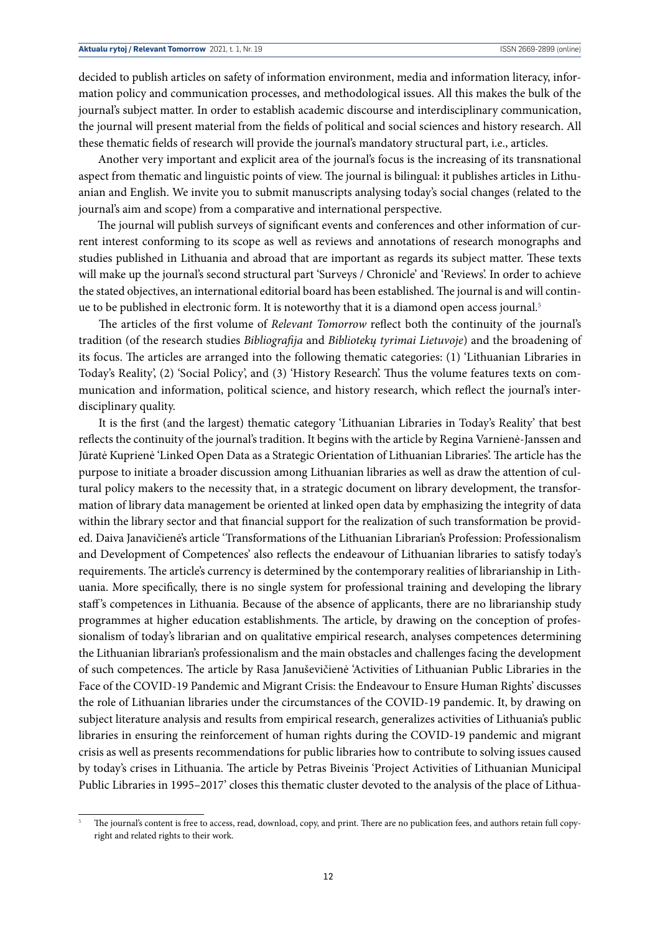decided to publish articles on safety of information environment, media and information literacy, information policy and communication processes, and methodological issues. All this makes the bulk of the journal's subject matter. In order to establish academic discourse and interdisciplinary communication, the journal will present material from the fields of political and social sciences and history research. All these thematic fields of research will provide the journal's mandatory structural part, i.e., articles.

 Another very important and explicit area of the journal's focus is the increasing of its transnational aspect from thematic and linguistic points of view. The journal is bilingual: it publishes articles in Lithuanian and English. We invite you to submit manuscripts analysing today's social changes (related to the journal's aim and scope) from a comparative and international perspective.

 The journal will publish surveys of significant events and conferences and other information of current interest conforming to its scope as well as reviews and annotations of research monographs and studies published in Lithuania and abroad that are important as regards its subject matter. These texts will make up the journal's second structural part 'Surveys / Chronicle' and 'Reviews'. In order to achieve the stated objectives, an international editorial board has been established. The journal is and will continue to be published in electronic form. It is noteworthy that it is a diamond open access journal.<sup>5</sup>

 The articles of the first volume of *Relevant Tomorrow* reflect both the continuity of the journal's tradition (of the research studies *Bibliografija* and *Bibliotekų tyrimai Lietuvoje*) and the broadening of its focus. The articles are arranged into the following thematic categories: (1) 'Lithuanian Libraries in Today's Reality', (2) 'Social Policy', and (3) 'History Research'. Thus the volume features texts on communication and information, political science, and history research, which reflect the journal's interdisciplinary quality.

 It is the first (and the largest) thematic category 'Lithuanian Libraries in Today's Reality' that best reflects the continuity of the journal's tradition. It begins with the article by Regina Varnienė-Janssen and Jūratė Kuprienė 'Linked Open Data as a Strategic Orientation of Lithuanian Libraries'. The article has the purpose to initiate a broader discussion among Lithuanian libraries as well as draw the attention of cultural policy makers to the necessity that, in a strategic document on library development, the transformation of library data management be oriented at linked open data by emphasizing the integrity of data within the library sector and that financial support for the realization of such transformation be provided. Daiva Janavičienė's article 'Transformations of the Lithuanian Librarian's Profession: Professionalism and Development of Competences' also reflects the endeavour of Lithuanian libraries to satisfy today's requirements. The article's currency is determined by the contemporary realities of librarianship in Lithuania. More specifically, there is no single system for professional training and developing the library staff 's competences in Lithuania. Because of the absence of applicants, there are no librarianship study programmes at higher education establishments. The article, by drawing on the conception of professionalism of today's librarian and on qualitative empirical research, analyses competences determining the Lithuanian librarian's professionalism and the main obstacles and challenges facing the development of such competences. The article by Rasa Januševičienė 'Activities of Lithuanian Public Libraries in the Face of the COVID-19 Pandemic and Migrant Crisis: the Endeavour to Ensure Human Rights' discusses the role of Lithuanian libraries under the circumstances of the COVID-19 pandemic. It, by drawing on subject literature analysis and results from empirical research, generalizes activities of Lithuania's public libraries in ensuring the reinforcement of human rights during the COVID-19 pandemic and migrant crisis as well as presents recommendations for public libraries how to contribute to solving issues caused by today's crises in Lithuania. The article by Petras Biveinis 'Project Activities of Lithuanian Municipal Public Libraries in 1995–2017' closes this thematic cluster devoted to the analysis of the place of Lithua-

<sup>5</sup> The journal's content is free to access, read, download, copy, and print. There are no publication fees, and authors retain full copyright and related rights to their work.